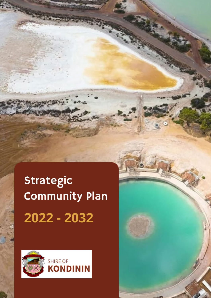# **Strategic Community Plan** 2022 - 2032



Strategic Community Plan 2022 - 2032 - 2032 - 2032 - 2032 - 2032 - 2032 - 2032 - 2032 - 2032 - 2032 - 2032 - 20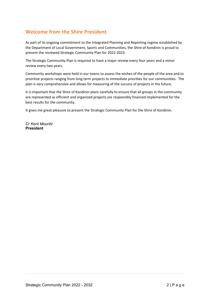## **Welcome from the Shire President**

As part of its ongoing commitment to the Integrated Planning and Reporting regime established by the Department of Local Government, Sports and Communities, the Shire of Kondinin is proud to present the reviewed Strategic Community Plan for 2022-2023.

The Strategic Community Plan is required to have a major review every four years and a minor review every two years.

Community workshops were held in our towns to assess the wishes of the people of the area and to prioritize projects ranging from long term projects to immediate priorities for our communities. The plan is very comprehensive and allows for measuring of the success of projects in the future.

It is important that the Shire of Kondinin plans carefully to ensure that all groups in the community are represented as efficient and organized projects are responsibly financed implemented for the best results for the community.

It gives me great pleasure to present the Strategic Community Plan for the Shire of Kondinin.

*Cr Kent Mouritz* **President**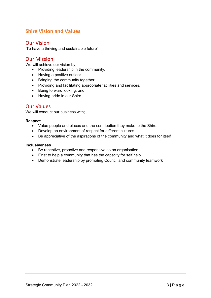## **Shire Vision and Values**

### Our Vision

'To have a thriving and sustainable future'

## Our Mission

We will achieve our vision by;

- Providing leadership in the community,
- Having a positive outlook,
- Bringing the community together,
- Providing and facilitating appropriate facilities and services,
- Being forward looking, and
- Having pride in our Shire.

#### Our Values

We will conduct our business with;

#### **Respect**

- Value people and places and the contribution they make to the Shire.
- Develop an environment of respect for different cultures
- Be appreciative of the aspirations of the community and what it does for itself

#### **Inclusiveness**

- Be receptive, proactive and responsive as an organisation
- Exist to help a community that has the capacity for self help
- Demonstrate leadership by promoting Council and community teamwork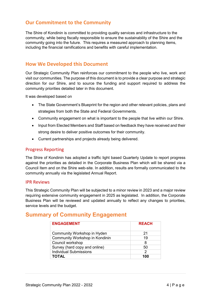## **Our Commitment to the Community**

The Shire of Kondinin is committed to providing quality services and infrastructure to the community, while being fiscally responsible to ensure the sustainability of the Shire and the community going into the future. This requires a measured approach to planning items, including the financial ramifications and benefits with careful implementation.

## **How We Developed this Document**

Our Strategic Community Plan reinforces our commitment to the people who live, work and visit our communities. The purpose of this document is to provide a clear purpose and strategic direction for our Shire, and to source the funding and support required to address the community priorities detailed later in this document.

It was developed based on

- The State Government's Blueprint for the region and other relevant policies, plans and strategies from both the State and Federal Governments.
- Community engagement on what is important to the people that live within our Shire.
- Input from Elected Members and Staff based on feedback they have received and their strong desire to deliver positive outcomes for their community.
- Current partnerships and projects already being delivered.

#### Progress Reporting

The Shire of Kondinin has adopted a traffic light based Quarterly Update to report progress against the priorities as detailed in the Corporate Business Plan which will be shared via a Council Item and on the Shire web-site. In addition, results are formally communicated to the community annually via the legislated Annual Report.

#### IPR Reviews

This Strategic Community Plan will be subjected to a minor review in 2023 and a major review requiring extensive community engagement in 2025 as legislated. In addition, the Corporate Business Plan will be reviewed and updated annually to reflect any changes to priorities, service levels and the budget.

## **Summary of Community Engagement**

| <b>ENGAGEMENT</b>              | <b>REACH</b> |
|--------------------------------|--------------|
| Community Workshop in Hyden    | 21           |
| Community Workshop in Kondinin | 19           |
| Council workshop               | 8            |
| Survey (hard copy and online)  | 50           |
| <b>Individual Submissions</b>  | 2            |
| TOTAL                          | 100          |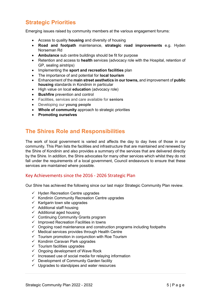## **Strategic Priorities**

Emerging issues raised by community members at the various engagement forums:

- Access to quality **housing** and diversity of housing
- **Road and footpath** maintenance, **strategic road improvements** e.g. Hyden Norseman Rd
- **Ambulance** sub centre buildings should be fit for purpose
- Retention and access to **health** services (advocacy role with the Hospital, retention of GP, sealing airstrips)
- Implementing the **sport and recreation facilities** plan
- The importance of and potential for **local tourism**
- Enhancement of the **main street aesthetics in our towns,** and improvement of **public housing** standards in Kondinin in particular
- High value on local **education** (advocacy role)
- **Bushfire** prevention and control
- Facilities, services and care available for **seniors**
- Developing our **young people**
- **Whole of community** approach to strategic priorities
- **Promoting ourselves**

## **The Shires Role and Responsibilities**

The work of local government is varied and affects the day to day lives of those in our community. This Plan lists the facilities and infrastructure that are maintained and renewed by the Shire of Kondinin and also provides a summary of the services that are delivered directly by the Shire. In addition, the Shire advocates for many other services which whilst they do not fall under the requirements of a local government, Council endeavours to ensure that these services are maintained where possible.

#### Key Achievements since the 2016 - 2026 Strategic Plan

Our Shire has achieved the following since our last major Strategic Community Plan review.

- $\checkmark$  Hyden Recreation Centre upgrades
- $\checkmark$  Kondinin Community Recreation Centre upgrades
- $\checkmark$  Karlgarin town site upgrades
- $\checkmark$  Additional staff housing
- $\checkmark$  Additional aged housing
- $\checkmark$  Continuing Community Grants program
- $\checkmark$  Improved Recreation Facilities in towns
- $\checkmark$  Ongoing road maintenance and construction programs including footpaths
- $\checkmark$  Medical services provides through Health Centre
- $\checkmark$  Tourism promotion in conjunction with Roe Tourism
- $\checkmark$  Kondinin Caravan Park upgrades
- $\checkmark$  Tourism facilities upgrades
- $\checkmark$  Ongoing development of Wave Rock
- $\checkmark$  Increased use of social media for relaying information
- $\checkmark$  Development of Community Garden facility
- $\checkmark$  Upgrades to standpipes and water resources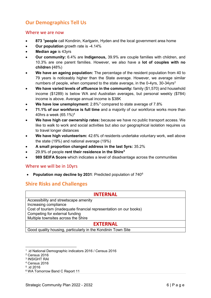## **Our Demographics Tell Us**

#### Where we are now

- **873 [1](#page-5-0) people** call Kondinin, Karlgarin, Hyden and the local government area home
- **Our population** growth rate is -4.14%
- **Median age** is 43yrs
- **Our community:** 6.4% are **Indigenous,** 39.9% are couple families with children, and 10.3% are one parent families. However, we also have a **lot of couples with no children (**48%)
- **We have an ageing population:** The percentage of the resident population from 40 to 79 years is noticeably higher than the State average. However, we average similar numbers of people, when compared to the state average, in the 0-4yrs,  $30-34$ yrs<sup>[2](#page-5-1)</sup>
- **We have varied levels of affluence in the community:** family (\$1,570) and household income (\$1289) is below WA and Australian averages, but personal weekly (\$784) income is above. Average annual income is \$38K
- **We have low unemployment:** 2.8%[3](#page-5-2) compared to state average of 7.8%
- **71.1% of our workforce is full time** and a majority of our workforce works more than 40hrs a week (65.1%)[4](#page-5-3)
- **We have high car ownership rates:** because we have no public transport access. We like to walk to work and social activities but also our geographical isolation requires us to travel longer distances
- **We have high volunteerism:** 42.6% of residents undertake voluntary work, well above the state (19%) and national average (19%)
- **A small proportion changed address in the last 5yrs:** 35.2%
- 29.9% of people **rent their residence in the Shir[e5](#page-5-4)**
- **989 SEIFA Score** which indicates a level of disadvantage across the communities

#### Where we will be in 10yrs

• **Population may decline by 2031**: Predicted population of 740[6](#page-5-5)

## **Shire Risks and Challenges**

| <b>INTERNAL</b>                                                    |  |
|--------------------------------------------------------------------|--|
| Accessibility and streetscape amenity                              |  |
| Increasing compliance                                              |  |
| Cost of tourism (inadequate financial representation on our books) |  |
| Competing for external funding                                     |  |
| Multiple townsites across the Shire                                |  |
| <b>EXTERNAL</b>                                                    |  |

Good quality housing, particularly in the Kondinin Town Site

<u>.</u>

<span id="page-5-0"></span><sup>1</sup> .id National Demographic indicators 2016 / Census 2016

<span id="page-5-1"></span><sup>2</sup> Census 2016

<span id="page-5-2"></span><sup>3</sup> INSIGHT RAI

<span id="page-5-3"></span><sup>4</sup> Census 2016

<span id="page-5-4"></span><sup>5</sup> .id 2016

<span id="page-5-5"></span><sup>6</sup> WA Tomorrow Band C Report 11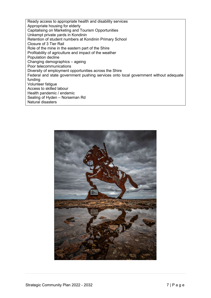Ready access to appropriate health and disability services Appropriate housing for elderly Capitalising on Marketing and Tourism Opportunities Unkempt private yards in Kondinin Retention of student numbers at Kondinin Primary School Closure of 3 Tier Rail Role of the mine in the eastern part of the Shire Profitability of agriculture and impact of the weather Population decline Changing demographics – ageing Poor telecommunications Diversity of employment opportunities across the Shire Federal and state government pushing services onto local government without adequate funding Volunteer fatigue Access to skilled labour Health pandemic / endemic Sealing of Hyden – Norseman Rd Natural disasters

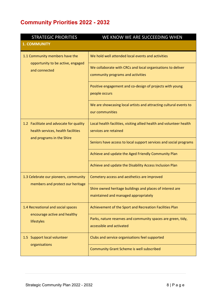## **Community Priorities 2022 - 2032**

| <b>STRATEGIC PRIORITIES</b>                                                                                | WE KNOW WE ARE SUCCEEDING WHEN                                                                    |
|------------------------------------------------------------------------------------------------------------|---------------------------------------------------------------------------------------------------|
| <b>1. COMMUNITY</b>                                                                                        |                                                                                                   |
| 1.1 Community members have the<br>opportunity to be active, engaged<br>and connected                       | We hold well attended local events and activities                                                 |
|                                                                                                            | We collaborate with CRCs and local organisations to deliver<br>community programs and activities  |
|                                                                                                            | Positive engagement and co-design of projects with young<br>people occurs                         |
|                                                                                                            | We are showcasing local artists and attracting cultural events to<br>our communities              |
| 1.2 Facilitate and advocate for quality<br>health services, health facilities<br>and programs in the Shire | Local health facilities, visiting allied health and volunteer health<br>services are retained     |
|                                                                                                            | Seniors have access to local support services and social programs                                 |
|                                                                                                            | Achieve and update the Aged Friendly Community Plan                                               |
|                                                                                                            | Achieve and update the Disability Access Inclusion Plan                                           |
| 1.3 Celebrate our pioneers, community                                                                      | Cemetery access and aesthetics are improved                                                       |
| members and protect our heritage                                                                           | Shire owned heritage buildings and places of interest are<br>maintained and managed appropriately |
| 1.4 Recreational and social spaces<br>encourage active and healthy<br>lifestyles                           | Achievement of the Sport and Recreation Facilities Plan                                           |
|                                                                                                            | Parks, nature reserves and community spaces are green, tidy,<br>accessible and activated          |
| 1.5 Support local volunteer<br>organisations                                                               | Clubs and service organisations feel supported                                                    |
|                                                                                                            | <b>Community Grant Scheme is well subscribed</b>                                                  |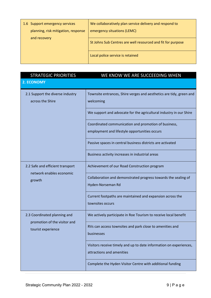| 1.6 Support emergency services      | We collaboratively plan service delivery and respond to     |
|-------------------------------------|-------------------------------------------------------------|
| planning, risk mitigation, response | emergency situations (LEMC)                                 |
| and recovery                        |                                                             |
|                                     | St Johns Sub Centres are well resourced and fit for purpose |
|                                     |                                                             |
|                                     | Local police service is retained                            |
|                                     |                                                             |

| <b>STRATEGIC PRIORITIES</b>                                                        | WE KNOW WE ARE SUCCEEDING WHEN                                                                        |
|------------------------------------------------------------------------------------|-------------------------------------------------------------------------------------------------------|
| <b>2. ECONOMY</b>                                                                  |                                                                                                       |
| 2.1 Support the diverse industry<br>across the Shire                               | Townsite entrances, Shire verges and aesthetics are tidy, green and<br>welcoming                      |
|                                                                                    | We support and advocate for the agricultural industry in our Shire                                    |
|                                                                                    | Coordinated communication and promotion of business,<br>employment and lifestyle opportunities occurs |
|                                                                                    | Passive spaces in central business districts are activated                                            |
|                                                                                    | Business activity increases in industrial areas                                                       |
| 2.2 Safe and efficient transport<br>network enables economic<br>growth             | Achievement of our Road Construction program                                                          |
|                                                                                    | Collaboration and demonstrated progress towards the sealing of<br>Hyden-Norseman Rd                   |
|                                                                                    | Current footpaths are maintained and expansion across the<br>townsites occurs                         |
| 2.3 Coordinated planning and<br>promotion of the visitor and<br>tourist experience | We actively participate in Roe Tourism to receive local benefit                                       |
|                                                                                    | RVs can access townsites and park close to amenities and<br>businesses                                |
|                                                                                    | Visitors receive timely and up to date information on experiences,<br>attractions and amenities       |
|                                                                                    | Complete the Hyden Visitor Centre with additional funding                                             |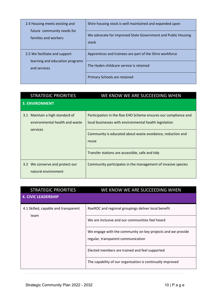| 2.4 Housing meets existing and<br>future community needs for<br>families and workers | Shire housing stock is well maintained and expanded upon              |
|--------------------------------------------------------------------------------------|-----------------------------------------------------------------------|
|                                                                                      | We advocate for improved State Government and Public Housing<br>stock |
| 2.5 We facilitate and support                                                        | Apprentices and trainees are part of the Shire workforce              |
| learning and education programs<br>and services                                      | The Hyden childcare service is retained                               |
|                                                                                      | Primary Schools are retained                                          |

| <b>STRATEGIC PRIORITIES</b>                                          | WE KNOW WE ARE SUCCEEDING WHEN                                                                                           |
|----------------------------------------------------------------------|--------------------------------------------------------------------------------------------------------------------------|
| <b>3. ENVIRONMENT</b>                                                |                                                                                                                          |
| Maintain a high standard of<br>3.1<br>environmental health and waste | Participation in the Roe EHO Scheme ensures our compliance and<br>local businesses with environmental health legislation |
| services                                                             | Community is educated about waste avoidance, reduction and<br>reuse                                                      |
|                                                                      | Transfer stations are accessible, safe and tidy                                                                          |
| 3.2 We conserve and protect our<br>natural environment               | Community participates in the management of invasive species                                                             |

| <b>STRATEGIC PRIORITIES</b>                  | WE KNOW WE ARE SUCCEEDING WHEN                                                                    |
|----------------------------------------------|---------------------------------------------------------------------------------------------------|
| <b>4. CIVIC LEADERSHIP</b>                   |                                                                                                   |
| 4.1 Skilled, capable and transparent<br>team | RoeROC and regional groupings deliver local benefit                                               |
|                                              | We are inclusive and our communities feel heard                                                   |
|                                              | We engage with the community on key projects and we provide<br>regular, transparent communication |
|                                              | Elected members are trained and feel supported                                                    |
|                                              | The capability of our organisation is continually improved                                        |